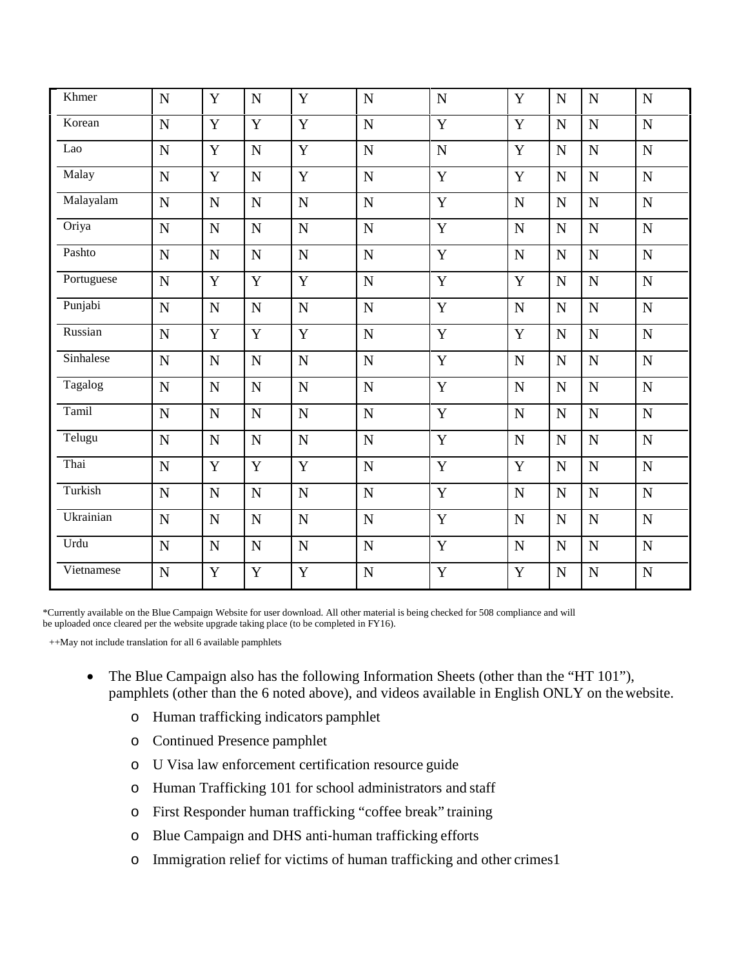| Khmer      | N              | Y              | $\mathbf N$ | Y              | $\mathbf N$    | N              | Y           | $\mathbf N$    | N           | N              |
|------------|----------------|----------------|-------------|----------------|----------------|----------------|-------------|----------------|-------------|----------------|
| Korean     | $\overline{N}$ | Y              | Y           | $\overline{Y}$ | $\overline{N}$ | $\overline{Y}$ | $\mathbf Y$ | $\overline{N}$ | ${\bf N}$   | $\mathbf N$    |
| Lao        | N              | Y              | $\mathbf N$ | Y              | $\mathbf N$    | $\mathbf N$    | Y           | $\mathbf N$    | N           | $\overline{N}$ |
| Malay      | N              | Y              | $\mathbf N$ | Y              | N              | Y              | Y           | $\mathbf N$    | $\mathbf N$ | N              |
| Malayalam  | N              | N              | $\mathbf N$ | ${\bf N}$      | N              | $\mathbf Y$    | N           | $\mathbf N$    | $\mathbf N$ | $\overline{N}$ |
| Oriya      | N              | N              | $\mathbf N$ | ${\bf N}$      | $\mathbf N$    | $\mathbf Y$    | N           | $\mathbf N$    | $\mathbf N$ | $\mathbf N$    |
| Pashto     | N              | N              | ${\bf N}$   | ${\bf N}$      | $\mathbf N$    | $\mathbf Y$    | N           | $\mathbf N$    | $\mathbf N$ | $\mathbf N$    |
| Portuguese | $\mathbf N$    | Y              | Y           | Y              | $\overline{N}$ | $\mathbf{Y}$   | $\mathbf Y$ | $\mathbf N$    | $\mathbf N$ | $\mathbf N$    |
| Punjabi    | $\mathbf N$    | $\overline{N}$ | ${\bf N}$   | ${\bf N}$      | $\overline{N}$ | $\mathbf Y$    | N           | $\mathbf N$    | $\mathbf N$ | $\mathbf N$    |
| Russian    | $\mathbf N$    | Y              | Y           | Y              | $\mathbf N$    | $\mathbf Y$    | $\mathbf Y$ | $\mathbf N$    | $\mathbf N$ | $\mathbf N$    |
| Sinhalese  | N              | N              | ${\bf N}$   | ${\bf N}$      | $\mathbf N$    | $\mathbf Y$    | N           | $\mathbf N$    | ${\bf N}$   | ${\bf N}$      |
| Tagalog    | N              | N              | ${\bf N}$   | $\mathbf N$    | $\mathbf N$    | $\mathbf Y$    | N           | $\mathbf N$    | ${\bf N}$   | ${\bf N}$      |
| Tamil      | N              | N              | $\mathbf N$ | $\mathbf N$    | N              | $\mathbf Y$    | N           | $\mathbf N$    | $\mathbf N$ | $\mathbf N$    |
| Telugu     | N              | N              | $\mathbf N$ | ${\bf N}$      | $\mathbf N$    | $\mathbf Y$    | N           | ${\bf N}$      | ${\bf N}$   | ${\bf N}$      |
| Thai       | N              | Y              | Y           | Y              | $\mathbf N$    | $\mathbf Y$    | Y           | N              | $\mathbf N$ | $\mathbf N$    |
| Turkish    | N              | $\mathbf N$    | $\mathbf N$ | ${\bf N}$      | ${\bf N}$      | $\overline{Y}$ | N           | ${\bf N}$      | ${\bf N}$   | ${\bf N}$      |
| Ukrainian  | N              | N              | ${\bf N}$   | ${\bf N}$      | $\mathbf N$    | $\mathbf Y$    | N           | ${\bf N}$      | ${\bf N}$   | ${\bf N}$      |
| Urdu       | N              | N              | ${\bf N}$   | ${\bf N}$      | $\mathbf N$    | $\mathbf Y$    | N           | ${\bf N}$      | $\mathbf N$ | ${\bf N}$      |
| Vietnamese | N              | Y              | Y           | Y              | $\mathbf N$    | $\mathbf Y$    | Y           | ${\bf N}$      | $\mathbf N$ | $\mathbf N$    |

 \*Currently available on the Blue Campaign Website for user download. All other material is being checked for 508 compliance and will be uploaded once cleared per the website upgrade taking place (to be completed in FY16).

++May not include translation for all 6 available pamphlets

- pamphlets (other than the 6 noted above), and videos available in English ONLY on the website. • The Blue Campaign also has the following Information Sheets (other than the "HT 101"),
	- o Human trafficking indicators pamphlet
	- o Continued Presence pamphlet
	- o U Visa law enforcement certification resource guide
	- o Human Trafficking 101 for school administrators and staff
	- o First Responder human trafficking "coffee break" training
	- o Blue Campaign and DHS anti‐human trafficking efforts
	- o Immigration relief for victims of human trafficking and other crimes1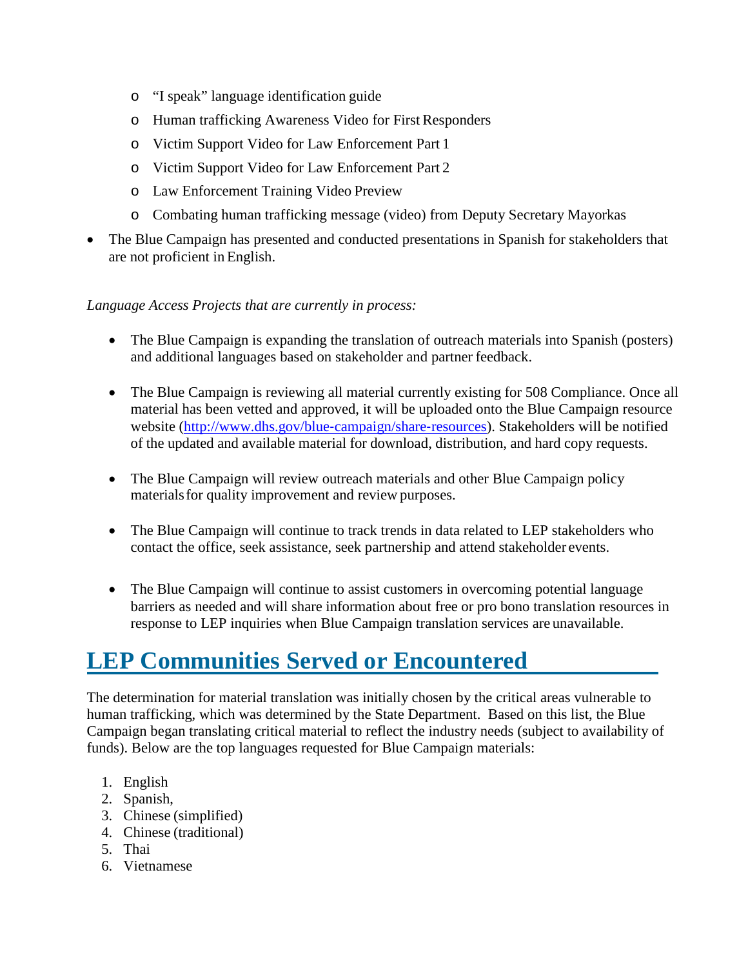- o "I speak" language identification guide
- o Human trafficking Awareness Video for First Responders
- o Victim Support Video for Law Enforcement Part 1
- o Victim Support Video for Law Enforcement Part 2
- o Law Enforcement Training Video Preview
- o Combating human trafficking message (video) from Deputy Secretary Mayorkas
- The Blue Campaign has presented and conducted presentations in Spanish for stakeholders that are not proficient in English.

#### *Language Access Projects that are currently in process:*

- and additional languages based on stakeholder and partner feedback. • The Blue Campaign is expanding the translation of outreach materials into Spanish (posters)
- of the updated and available material for download, distribution, and hard copy requests. • The Blue Campaign is reviewing all material currently existing for 508 Compliance. Once all material has been vetted and approved, it will be uploaded onto the Blue Campaign resource website [\(http://www.dhs.gov/blue](http://www.dhs.gov/blue)-campaign/share-resources). Stakeholders will be notified
- The Blue Campaign will review outreach materials and other Blue Campaign policy materials for quality improvement and review purposes.
- contact the office, seek assistance, seek partnership and attend stakeholder events. • The Blue Campaign will continue to track trends in data related to LEP stakeholders who
- response to LEP inquiries when Blue Campaign translation services are unavailable. • The Blue Campaign will continue to assist customers in overcoming potential language barriers as needed and will share information about free or pro bono translation resources in

## **LEP Communities Served or Encountered**

The determination for material translation was initially chosen by the critical areas vulnerable to human trafficking, which was determined by the State Department. Based on this list, the Blue Campaign began translating critical material to reflect the industry needs (subject to availability of funds). Below are the top languages requested for Blue Campaign materials:

- 1. English
- 2. Spanish,
- 3. Chinese (simplified)
- 4. Chinese (traditional)
- 5. Thai
- 6. Vietnamese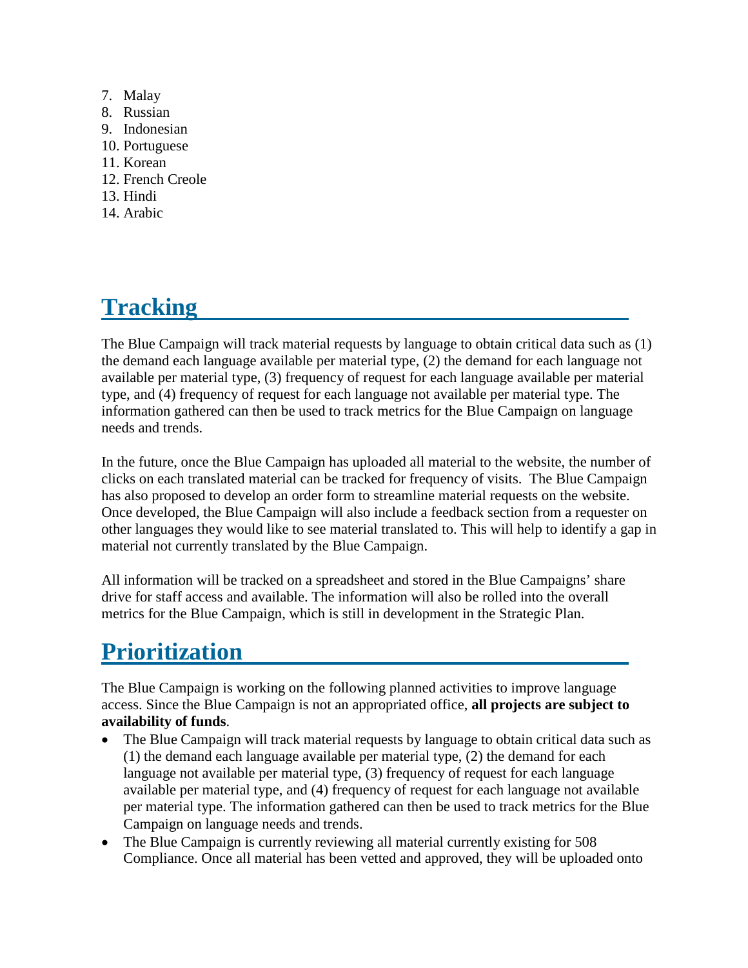- 7. Malay
- 8. Russian
- 9. Indonesian
- 10. Portuguese
- 11. Korean
- 12. French Creole
- 13. Hindi
- 14. Arabic

# **Tracking**

 The Blue Campaign will track material requests by language to obtain critical data such as (1) the demand each language available per material type, (2) the demand for each language not available per material type, (3) frequency of request for each language available per material type, and (4) frequency of request for each language not available per material type. The information gathered can then be used to track metrics for the Blue Campaign on language needs and trends.

 Once developed, the Blue Campaign will also include a feedback section from a requester on other languages they would like to see material translated to. This will help to identify a gap in In the future, once the Blue Campaign has uploaded all material to the website, the number of clicks on each translated material can be tracked for frequency of visits. The Blue Campaign has also proposed to develop an order form to streamline material requests on the website. material not currently translated by the Blue Campaign.

All information will be tracked on a spreadsheet and stored in the Blue Campaigns' share drive for staff access and available. The information will also be rolled into the overall metrics for the Blue Campaign, which is still in development in the Strategic Plan.

## **Prioritization**

 access. Since the Blue Campaign is not an appropriated office, **all projects are subject to**  The Blue Campaign is working on the following planned activities to improve language **availability of funds**.

- • The Blue Campaign will track material requests by language to obtain critical data such as Campaign on language needs and trends. (1) the demand each language available per material type, (2) the demand for each language not available per material type, (3) frequency of request for each language available per material type, and (4) frequency of request for each language not available per material type. The information gathered can then be used to track metrics for the Blue
- The Blue Campaign is currently reviewing all material currently existing for 508 Compliance. Once all material has been vetted and approved, they will be uploaded onto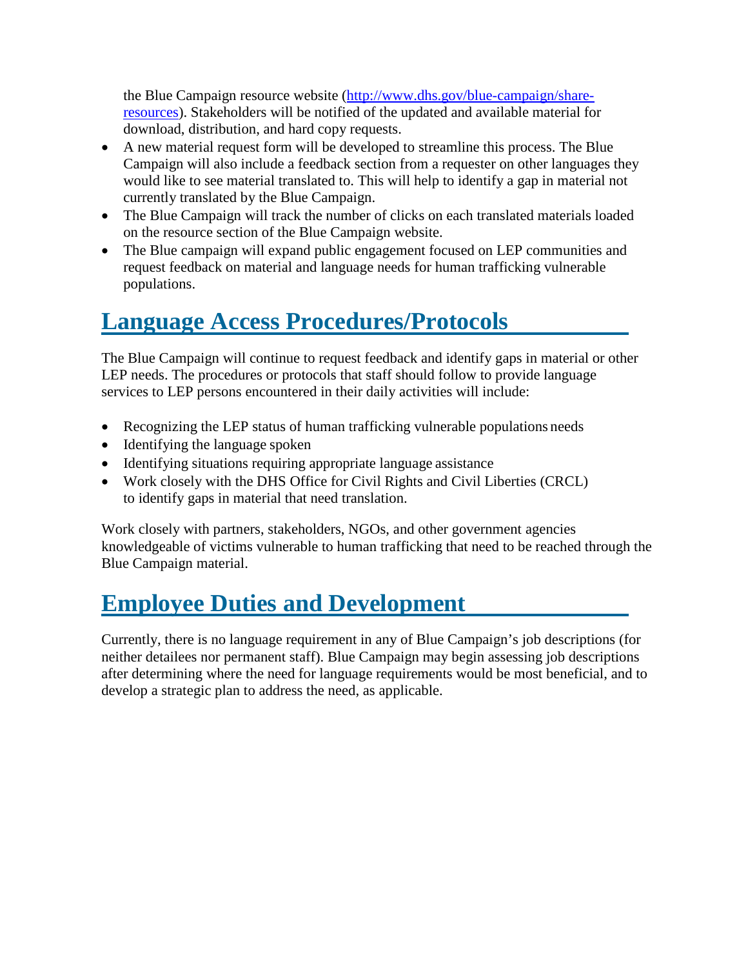the Blue Campaign resource website [\(http://www.dhs.gov/blue-campaign/share](http://www.dhs.gov/blue-campaign/share-resources))[resources\).](http://www.dhs.gov/blue-campaign/share-resources)) Stakeholders will be notified of the updated and available material for download, distribution, and hard copy requests.

- would like to see material translated to. This will help to identify a gap in material not currently translated by the Blue Campaign. • A new material request form will be developed to streamline this process. The Blue Campaign will also include a feedback section from a requester on other languages they
- The Blue Campaign will track the number of clicks on each translated materials loaded on the resource section of the Blue Campaign website.
- The Blue campaign will expand public engagement focused on LEP communities and request feedback on material and language needs for human trafficking vulnerable populations.

#### **Language Access Procedures/Protocols**

The Blue Campaign will continue to request feedback and identify gaps in material or other LEP needs. The procedures or protocols that staff should follow to provide language services to LEP persons encountered in their daily activities will include:

- Recognizing the LEP status of human trafficking vulnerable populations needs
- Identifying the language spoken
- Identifying situations requiring appropriate language assistance
- Work closely with the DHS Office for Civil Rights and Civil Liberties (CRCL) to identify gaps in material that need translation.

 Work closely with partners, stakeholders, NGOs, and other government agencies knowledgeable of victims vulnerable to human trafficking that need to be reached through the Blue Campaign material.

## **Employee Duties and Development**

Currently, there is no language requirement in any of Blue Campaign's job descriptions (for neither detailees nor permanent staff). Blue Campaign may begin assessing job descriptions after determining where the need for language requirements would be most beneficial, and to develop a strategic plan to address the need, as applicable.